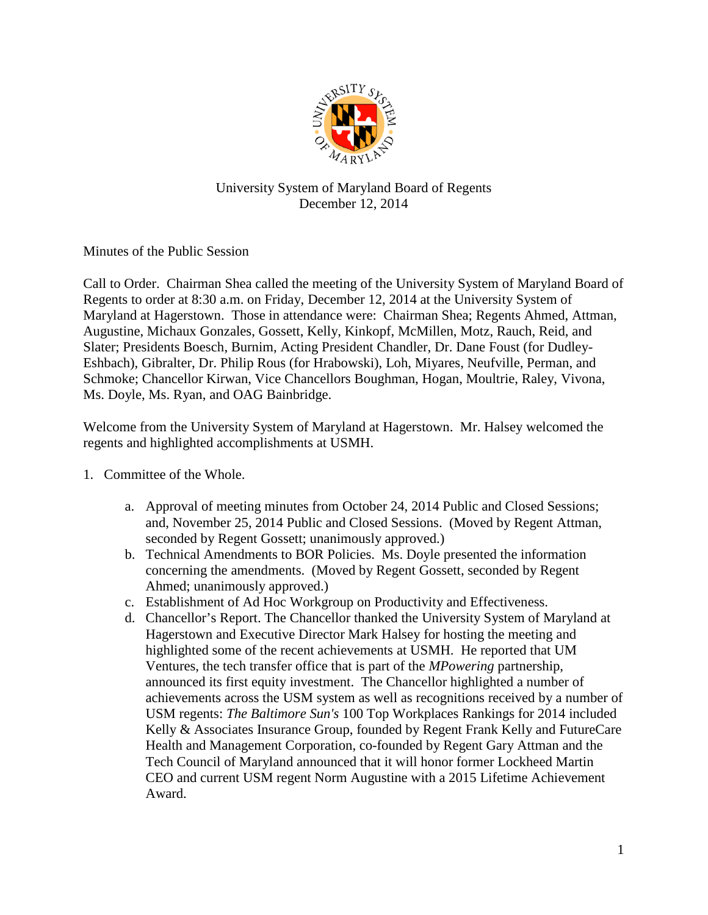

## University System of Maryland Board of Regents December 12, 2014

Minutes of the Public Session

Call to Order. Chairman Shea called the meeting of the University System of Maryland Board of Regents to order at 8:30 a.m. on Friday, December 12, 2014 at the University System of Maryland at Hagerstown. Those in attendance were: Chairman Shea; Regents Ahmed, Attman, Augustine, Michaux Gonzales, Gossett, Kelly, Kinkopf, McMillen, Motz, Rauch, Reid, and Slater; Presidents Boesch, Burnim, Acting President Chandler, Dr. Dane Foust (for Dudley-Eshbach), Gibralter, Dr. Philip Rous (for Hrabowski), Loh, Miyares, Neufville, Perman, and Schmoke; Chancellor Kirwan, Vice Chancellors Boughman, Hogan, Moultrie, Raley, Vivona, Ms. Doyle, Ms. Ryan, and OAG Bainbridge.

Welcome from the University System of Maryland at Hagerstown. Mr. Halsey welcomed the regents and highlighted accomplishments at USMH.

- 1. Committee of the Whole.
	- a. Approval of meeting minutes from October 24, 2014 Public and Closed Sessions; and, November 25, 2014 Public and Closed Sessions. (Moved by Regent Attman, seconded by Regent Gossett; unanimously approved.)
	- b. Technical Amendments to BOR Policies. Ms. Doyle presented the information concerning the amendments. (Moved by Regent Gossett, seconded by Regent Ahmed; unanimously approved.)
	- c. Establishment of Ad Hoc Workgroup on Productivity and Effectiveness.
	- d. Chancellor's Report. The Chancellor thanked the University System of Maryland at Hagerstown and Executive Director Mark Halsey for hosting the meeting and highlighted some of the recent achievements at USMH. He reported that UM Ventures, the tech transfer office that is part of the *MPowering* partnership, announced its first equity investment. The Chancellor highlighted a number of achievements across the USM system as well as recognitions received by a number of USM regents: *The Baltimore Sun's* 100 Top Workplaces Rankings for 2014 included Kelly & Associates Insurance Group, founded by Regent Frank Kelly and FutureCare Health and Management Corporation, co-founded by Regent Gary Attman and the Tech Council of Maryland announced that it will honor former Lockheed Martin CEO and current USM regent Norm Augustine with a 2015 Lifetime Achievement Award.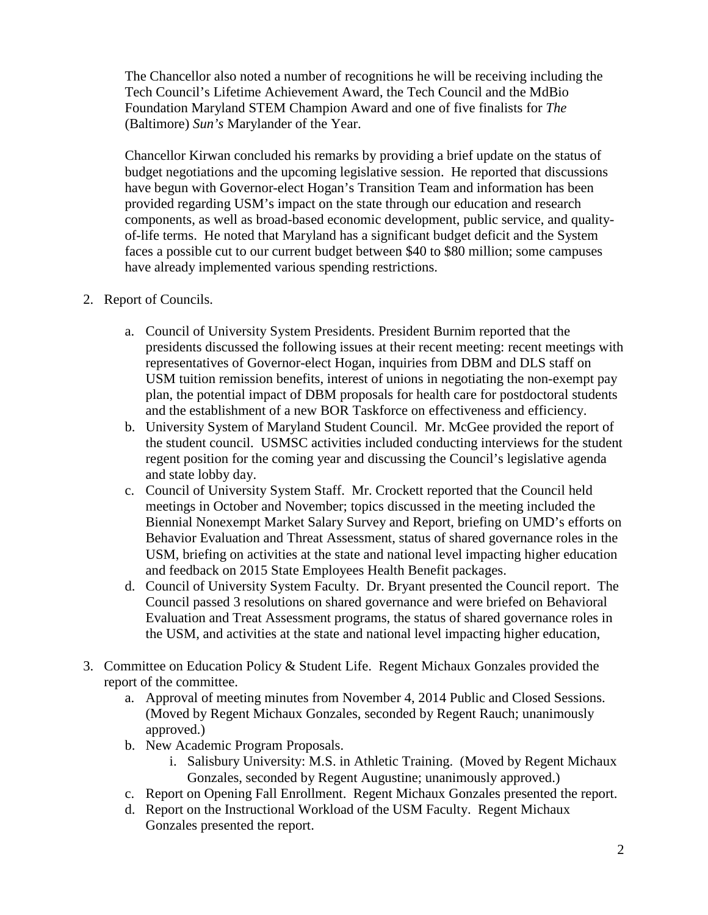The Chancellor also noted a number of recognitions he will be receiving including the Tech Council's Lifetime Achievement Award, the Tech Council and the MdBio Foundation Maryland STEM Champion Award and one of five finalists for *The* (Baltimore) *Sun's* Marylander of the Year.

Chancellor Kirwan concluded his remarks by providing a brief update on the status of budget negotiations and the upcoming legislative session. He reported that discussions have begun with Governor-elect Hogan's Transition Team and information has been provided regarding USM's impact on the state through our education and research components, as well as broad-based economic development, public service, and qualityof-life terms. He noted that Maryland has a significant budget deficit and the System faces a possible cut to our current budget between \$40 to \$80 million; some campuses have already implemented various spending restrictions.

- 2. Report of Councils.
	- a. Council of University System Presidents. President Burnim reported that the presidents discussed the following issues at their recent meeting: recent meetings with representatives of Governor-elect Hogan, inquiries from DBM and DLS staff on USM tuition remission benefits, interest of unions in negotiating the non-exempt pay plan, the potential impact of DBM proposals for health care for postdoctoral students and the establishment of a new BOR Taskforce on effectiveness and efficiency.
	- b. University System of Maryland Student Council. Mr. McGee provided the report of the student council. USMSC activities included conducting interviews for the student regent position for the coming year and discussing the Council's legislative agenda and state lobby day.
	- c. Council of University System Staff. Mr. Crockett reported that the Council held meetings in October and November; topics discussed in the meeting included the Biennial Nonexempt Market Salary Survey and Report, briefing on UMD's efforts on Behavior Evaluation and Threat Assessment, status of shared governance roles in the USM, briefing on activities at the state and national level impacting higher education and feedback on 2015 State Employees Health Benefit packages.
	- d. Council of University System Faculty. Dr. Bryant presented the Council report. The Council passed 3 resolutions on shared governance and were briefed on Behavioral Evaluation and Treat Assessment programs, the status of shared governance roles in the USM, and activities at the state and national level impacting higher education,
- 3. Committee on Education Policy & Student Life. Regent Michaux Gonzales provided the report of the committee.
	- a. Approval of meeting minutes from November 4, 2014 Public and Closed Sessions. (Moved by Regent Michaux Gonzales, seconded by Regent Rauch; unanimously approved.)
	- b. New Academic Program Proposals.
		- i. Salisbury University: M.S. in Athletic Training. (Moved by Regent Michaux Gonzales, seconded by Regent Augustine; unanimously approved.)
	- c. Report on Opening Fall Enrollment. Regent Michaux Gonzales presented the report.
	- d. Report on the Instructional Workload of the USM Faculty. Regent Michaux Gonzales presented the report.